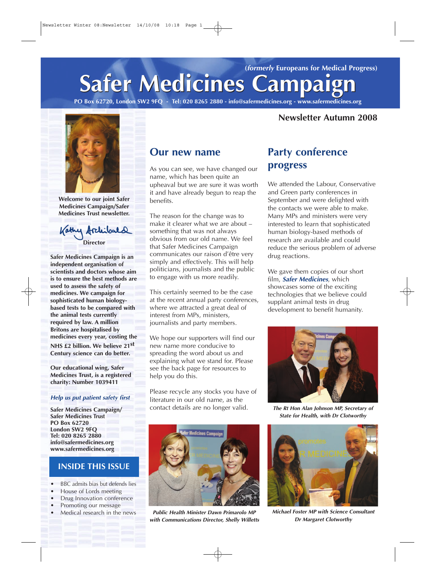# **Safer Medicines Campaign Safer Medicines Campaign (formerly Europeans for Medical Progress)**

**PO Box 62720, London SW2 9FQ - Tel: 020 8265 2880 - info@safermedicines.org - www.safermedicines.org**

#### **Newsletter Autumn 2008**



**Welcome to our joint Safer Medicines Campaign/Safer Medicines Trust newsletter.**



**Safer Medicines Campaign is an independent organisation of scientists and doctors whose aim is to ensure the best methods are used to assess the safety of medicines. We campaign for sophisticated human biologybased tests to be compared with the animal tests currently required by law. A million Britons are hospitalised by medicines every year, costing the NHS £2 billion. We believe 21st Century science can do better.** 

**Our educational wing, Safer Medicines Trust, is a registered charity: Number 1039411**

#### **Help us put patient safety first**

**Safer Medicines Campaign/ Safer Medicines Trust PO Box 62720 London SW2 9FQ Tel: 020 8265 2880 info@safermedicines.org www.safermedicines.org**

#### **INSIDE THIS ISSUE**

- **•** BBC admits bias but defends lies
- **•** House of Lords meeting
- **•** Drug Innovation conference
- **•** Promoting our message
- **•** Medical research in the news

#### **Our new name**

As you can see, we have changed our name, which has been quite an upheaval but we are sure it was worth it and have already begun to reap the benefits.

The reason for the change was to make it clearer what we are about – something that was not always obvious from our old name. We feel that Safer Medicines Campaign communicates our raison d'être very simply and effectively. This will help politicians, journalists and the public to engage with us more readily.

This certainly seemed to be the case at the recent annual party conferences, where we attracted a great deal of interest from MPs, ministers, journalists and party members.

We hope our supporters will find our new name more conducive to spreading the word about us and explaining what we stand for. Please see the back page for resources to help you do this.

Please recycle any stocks you have of literature in our old name, as the contact details are no longer valid.



**Public Health Minister Dawn Primarolo MP with Communications Director, Shelly Willetts**

### **Party conference progress**

We attended the Labour, Conservative and Green party conferences in September and were delighted with the contacts we were able to make. Many MPs and ministers were very interested to learn that sophisticated human biology-based methods of research are available and could reduce the serious problem of adverse drug reactions.

We gave them copies of our short film, **Safer Medicines**, which showcases some of the exciting technologies that we believe could supplant animal tests in drug development to benefit humanity.



**The Rt Hon Alan Johnson MP, Secretary of State for Health, with Dr Clotworthy**



**Michael Foster MP with Science Consultant Dr Margaret Clotworthy**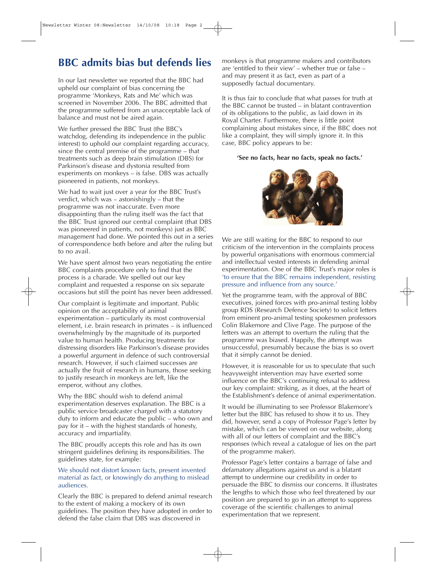# **BBC admits bias but defends lies**

In our last newsletter we reported that the BBC had upheld our complaint of bias concerning the programme 'Monkeys, Rats and Me' which was screened in November 2006. The BBC admitted that the programme suffered from an unacceptable lack of balance and must not be aired again.

We further pressed the BBC Trust (the BBC's watchdog, defending its independence in the public interest) to uphold our complaint regarding accuracy, since the central premise of the programme – that treatments such as deep brain stimulation (DBS) for Parkinson's disease and dystonia resulted from experiments on monkeys – is false. DBS was actually pioneered in patients, not monkeys.

We had to wait just over a year for the BBC Trust's verdict, which was – astonishingly – that the programme was not inaccurate. Even more disappointing than the ruling itself was the fact that the BBC Trust ignored our central complaint (that DBS was pioneered in patients, not monkeys) just as BBC management had done. We pointed this out in a series of correspondence both before and after the ruling but to no avail.

We have spent almost two years negotiating the entire BBC complaints procedure only to find that the process is a charade. We spelled out our key complaint and requested a response on six separate occasions but still the point has never been addressed.

Our complaint is legitimate and important. Public opinion on the acceptability of animal experimentation – particularly its most controversial element, i.e. brain research in primates – is influenced overwhelmingly by the magnitude of its purported value to human health. Producing treatments for distressing disorders like Parkinson's disease provides a powerful argument in defence of such controversial research. However, if such claimed successes are actually the fruit of research in humans, those seeking to justify research in monkeys are left, like the emperor, without any clothes.

Why the BBC should wish to defend animal experimentation deserves explanation. The BBC is a public service broadcaster charged with a statutory duty to inform and educate the public – who own and pay for it – with the highest standards of honesty, accuracy and impartiality.

The BBC proudly accepts this role and has its own stringent guidelines defining its responsibilities. The guidelines state, for example:

#### We should not distort known facts, present invented material as fact, or knowingly do anything to mislead audiences.

Clearly the BBC is prepared to defend animal research to the extent of making a mockery of its own guidelines. The position they have adopted in order to defend the false claim that DBS was discovered in

monkeys is that programme makers and contributors are 'entitled to their view' – whether true or false – and may present it as fact, even as part of a supposedly factual documentary.

It is thus fair to conclude that what passes for truth at the BBC cannot be trusted – in blatant contravention of its obligations to the public, as laid down in its Royal Charter. Furthermore, there is little point complaining about mistakes since, if the BBC does not like a complaint, they will simply ignore it. In this case, BBC policy appears to be:

#### **'See no facts, hear no facts, speak no facts.'**



We are still waiting for the BBC to respond to our criticism of the intervention in the complaints process by powerful organisations with enormous commercial and intellectual vested interests in defending animal experimentation. One of the BBC Trust's major roles is 'to ensure that the BBC remains independent, resisting pressure and influence from any source.'

Yet the programme team, with the approval of BBC executives, joined forces with pro-animal testing lobby group RDS (Research Defence Society) to solicit letters from eminent pro-animal testing spokesmen professors Colin Blakemore and Clive Page. The purpose of the letters was an attempt to overturn the ruling that the programme was biased. Happily, the attempt was unsuccessful, presumably because the bias is so overt that it simply cannot be denied.

However, it is reasonable for us to speculate that such heavyweight intervention may have exerted some influence on the BBC's continuing refusal to address our key complaint: striking, as it does, at the heart of the Establishment's defence of animal experimentation.

It would be illuminating to see Professor Blakemore's letter but the BBC has refused to show it to us. They did, however, send a copy of Professor Page's letter by mistake, which can be viewed on our website, along with all of our letters of complaint and the BBC's responses (which reveal a catalogue of lies on the part of the programme maker).

Professor Page's letter contains a barrage of false and defamatory allegations against us and is a blatant attempt to undermine our credibility in order to persuade the BBC to dismiss our concerns. It illustrates the lengths to which those who feel threatened by our position are prepared to go in an attempt to suppress coverage of the scientific challenges to animal experimentation that we represent.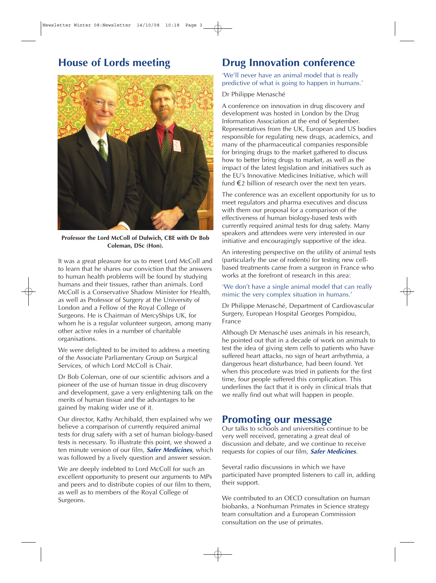### **House of Lords meeting**



**Professor the Lord McColl of Dulwich, CBE with Dr Bob Coleman, DSc (Hon).**

It was a great pleasure for us to meet Lord McColl and to learn that he shares our conviction that the answers to human health problems will be found by studying humans and their tissues, rather than animals. Lord McColl is a Conservative Shadow Minister for Health, as well as Professor of Surgery at the University of London and a Fellow of the Royal College of Surgeons. He is Chairman of MercyShips UK, for whom he is a regular volunteer surgeon, among many other active roles in a number of charitable organisations.

We were delighted to be invited to address a meeting of the Associate Parliamentary Group on Surgical Services, of which Lord McColl is Chair.

Dr Bob Coleman, one of our scientific advisors and a pioneer of the use of human tissue in drug discovery and development, gave a very enlightening talk on the merits of human tissue and the advantages to be gained by making wider use of it.

Our director, Kathy Archibald, then explained why we believe a comparison of currently required animal tests for drug safety with a set of human biology-based tests is necessary. To illustrate this point, we showed a ten minute version of our film, **Safer Medicines**, which was followed by a lively question and answer session.

We are deeply indebted to Lord McColl for such an excellent opportunity to present our arguments to MPs and peers and to distribute copies of our film to them, as well as to members of the Royal College of Surgeons.

# **Drug Innovation conference**

'We'll never have an animal model that is really predictive of what is going to happen in humans.'

#### Dr Philippe Menasché

A conference on innovation in drug discovery and development was hosted in London by the Drug Information Association at the end of September. Representatives from the UK, European and US bodies responsible for regulating new drugs, academics, and many of the pharmaceutical companies responsible for bringing drugs to the market gathered to discuss how to better bring drugs to market, as well as the impact of the latest legislation and initiatives such as the EU's Innovative Medicines Initiative, which will fund  $\epsilon$ 2 billion of research over the next ten years.

The conference was an excellent opportunity for us to meet regulators and pharma executives and discuss with them our proposal for a comparison of the effectiveness of human biology-based tests with currently required animal tests for drug safety. Many speakers and attendees were very interested in our initiative and encouragingly supportive of the idea.

An interesting perspective on the utility of animal tests (particularly the use of rodents) for testing new cellbased treatments came from a surgeon in France who works at the forefront of research in this area:

#### 'We don't have a single animal model that can really mimic the very complex situation in humans.'

Dr Philippe Menasché, Department of Cardiovascular Surgery, European Hospital Georges Pompidou, France

Although Dr Menasché uses animals in his research, he pointed out that in a decade of work on animals to test the idea of giving stem cells to patients who have suffered heart attacks, no sign of heart arrhythmia, a dangerous heart disturbance, had been found. Yet when this procedure was tried in patients for the first time, four people suffered this complication. This underlines the fact that it is only in clinical trials that we really find out what will happen in people.

#### **Promoting our message**

Our talks to schools and universities continue to be very well received, generating a great deal of discussion and debate, and we continue to receive requests for copies of our film, **Safer Medicines**.

Several radio discussions in which we have participated have prompted listeners to call in, adding their support.

We contributed to an OECD consultation on human biobanks, a Nonhuman Primates in Science strategy team consultation and a European Commission consultation on the use of primates.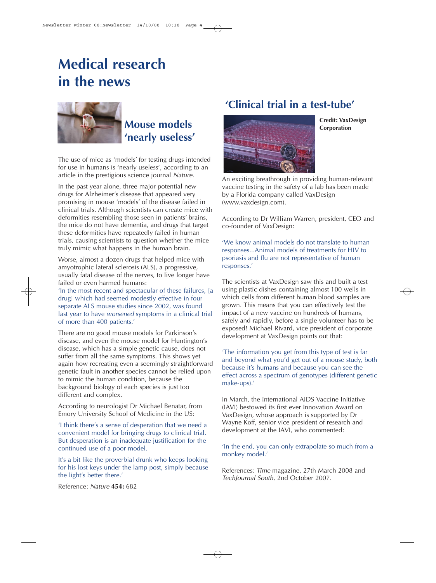# **Medical research in the news**



# **Mouse models 'nearly useless'**

The use of mice as 'models' for testing drugs intended for use in humans is 'nearly useless', according to an article in the prestigious science journal Nature.

In the past year alone, three major potential new drugs for Alzheimer's disease that appeared very promising in mouse 'models' of the disease failed in clinical trials. Although scientists can create mice with deformities resembling those seen in patients' brains, the mice do not have dementia, and drugs that target these deformities have repeatedly failed in human trials, causing scientists to question whether the mice truly mimic what happens in the human brain.

Worse, almost a dozen drugs that helped mice with amyotrophic lateral sclerosis (ALS), a progressive, usually fatal disease of the nerves, to live longer have failed or even harmed humans:

'In the most recent and spectacular of these failures, [a drug] which had seemed modestly effective in four separate ALS mouse studies since 2002, was found last year to have worsened symptoms in a clinical trial of more than 400 patients.'

There are no good mouse models for Parkinson's disease, and even the mouse model for Huntington's disease, which has a simple genetic cause, does not suffer from all the same symptoms. This shows yet again how recreating even a seemingly straightforward genetic fault in another species cannot be relied upon to mimic the human condition, because the background biology of each species is just too different and complex.

According to neurologist Dr Michael Benatar, from Emory University School of Medicine in the US:

'I think there's a sense of desperation that we need a convenient model for bringing drugs to clinical trial. But desperation is an inadequate justification for the continued use of a poor model.

It's a bit like the proverbial drunk who keeps looking for his lost keys under the lamp post, simply because the light's better there.'

Reference: Nature **454:** 682

### **'Clinical trial in a test-tube'**



**Credit: VaxDesign Corporation**

An exciting breathrough in providing human-relevant vaccine testing in the safety of a lab has been made by a Florida company called VaxDesign (www.vaxdesign.com).

According to Dr William Warren, president, CEO and co-founder of VaxDesign:

'We know animal models do not translate to human responses...Animal models of treatments for HIV to psoriasis and flu are not representative of human responses.'

The scientists at VaxDesign saw this and built a test using plastic dishes containing almost 100 wells in which cells from different human blood samples are grown. This means that you can effectively test the impact of a new vaccine on hundreds of humans, safely and rapidly, before a single volunteer has to be exposed! Michael Rivard, vice president of corporate development at VaxDesign points out that:

'The information you get from this type of test is far and beyond what you'd get out of a mouse study, both because it's humans and because you can see the effect across a spectrum of genotypes (different genetic make-ups).'

In March, the International AIDS Vaccine Initiative (IAVI) bestowed its first ever Innovation Award on VaxDesign, whose approach is supported by Dr Wayne Koff, senior vice president of research and development at the IAVI, who commented:

'In the end, you can only extrapolate so much from a monkey model.'

References: Time magazine, 27th March 2008 and TechJournal South, 2nd October 2007.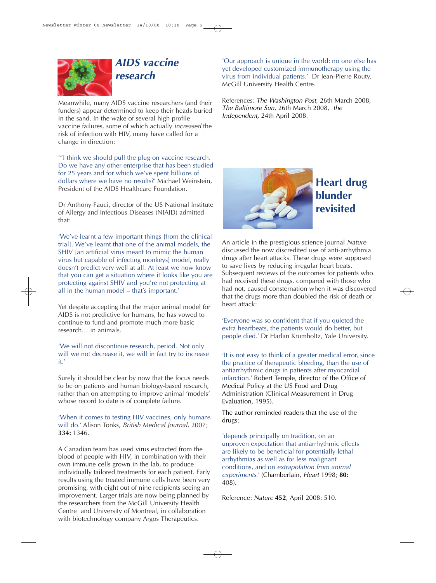

**research** 

Meanwhile, many AIDS vaccine researchers (and their funders) appear determined to keep their heads buried in the sand. In the wake of several high profile vaccine failures, some of which actually increased the risk of infection with HIV, many have called for a change in direction:

'"I think we should pull the plug on vaccine research. Do we have any other enterprise that has been studied for 25 years and for which we've spent billions of dollars where we have no results?' Michael Weinstein, President of the AIDS Healthcare Foundation.

Dr Anthony Fauci, director of the US National Institute of Allergy and Infectious Diseases (NIAID) admitted that:

'We've learnt a few important things [from the clinical trial]. We've learnt that one of the animal models, the SHIV [an artificial virus meant to mimic the human virus but capable of infecting monkeys] model, really doesn't predict very well at all. At least we now know that you can get a situation where it looks like you are protecting against SHIV and you're not protecting at all in the human model – that's important.'

Yet despite accepting that the major animal model for AIDS is not predictive for humans, he has vowed to continue to fund and promote much more basic research… in animals.

'We will not discontinue research, period. Not only will we not decrease it, we will in fact try to increase it.'

Surely it should be clear by now that the focus needs to be on patients and human biology-based research, rather than on attempting to improve animal 'models' whose record to date is of complete failure.

'When it comes to testing HIV vaccines, only humans will do.' Alison Tonks, British Medical Journal, 2007; **334:** 1346.

A Canadian team has used virus extracted from the blood of people with HIV, in combination with their own immune cells grown in the lab, to produce individually tailored treatments for each patient. Early results using the treated immune cells have been very promising, with eight out of nine recipients seeing an improvement. Larger trials are now being planned by the researchers from the McGill University Health Centre and University of Montreal, in collaboration with biotechnology company Argos Therapeutics.

'Our approach is unique in the world: no one else has yet developed customized immunotherapy using the virus from individual patients.' Dr Jean-Pierre Routy, McGill University Health Centre.

References: The Washington Post, 26th March 2008, The Baltimore Sun, 26th March 2008, the Independent, 24th April 2008.



## **Heart drug blunder revisited**

An article in the prestigious science journal Nature discussed the now discredited use of anti-arrhythmia drugs after heart attacks. These drugs were supposed to save lives by reducing irregular heart beats. Subsequent reviews of the outcomes for patients who had received these drugs, compared with those who had not, caused consternation when it was discovered that the drugs more than doubled the risk of death or heart attack:

'Everyone was so confident that if you quieted the extra heartbeats, the patients would do better, but people died.' Dr Harlan Krumholtz, Yale University.

'It is not easy to think of a greater medical error, since the practice of therapeutic bleeding, than the use of antiarrhythmic drugs in patients after myocardial infarction.' Robert Temple, director of the Office of Medical Policy at the US Food and Drug Administration (Clinical Measurement in Drug Evaluation, 1995).

The author reminded readers that the use of the drugs:

'depends principally on tradition, on an unproven expectation that antiarrhythmic effects are likely to be beneficial for potentially lethal arrhythmias as well as for less malignant conditions, and on extrapolation from animal experiments.' (Chamberlain, Heart 1998; **80:** 408).

Reference: Nature **452**, April 2008: 510.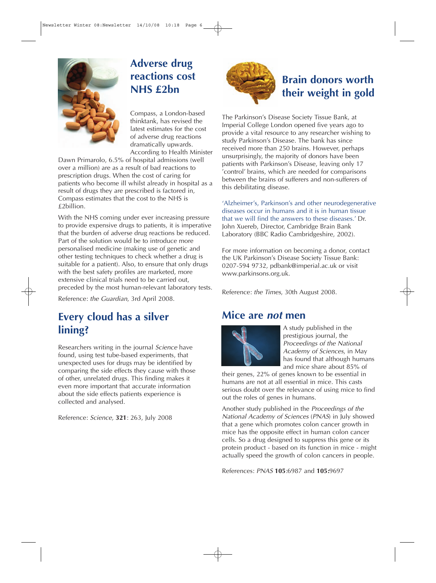

# **Adverse drug reactions cost NHS £2bn**

Compass, a London-based thinktank, has revised the latest estimates for the cost of adverse drug reactions dramatically upwards. According to Health Minister

Dawn Primarolo, 6.5% of hospital admissions (well over a million) are as a result of bad reactions to prescription drugs. When the cost of caring for patients who become ill whilst already in hospital as a result of drugs they are prescribed is factored in, Compass estimates that the cost to the NHS is £2billion.

With the NHS coming under ever increasing pressure to provide expensive drugs to patients, it is imperative that the burden of adverse drug reactions be reduced. Part of the solution would be to introduce more personalised medicine (making use of genetic and other testing techniques to check whether a drug is suitable for a patient). Also, to ensure that only drugs with the best safety profiles are marketed, more extensive clinical trials need to be carried out, preceded by the most human-relevant laboratory tests.

Reference: the Guardian, 3rd April 2008.

### **Every cloud has a silver lining?**

Researchers writing in the journal Science have found, using test tube-based experiments, that unexpected uses for drugs may be identified by comparing the side effects they cause with those of other, unrelated drugs. This finding makes it even more important that accurate information about the side effects patients experience is collected and analysed.

Reference: Science, **321**: 263, July 2008



# **Brain donors worth their weight in gold**

The Parkinson's Disease Society Tissue Bank, at Imperial College London opened five years ago to provide a vital resource to any researcher wishing to study Parkinson's Disease. The bank has since received more than 250 brains. However, perhaps unsurprisingly, the majority of donors have been patients with Parkinson's Disease, leaving only 17 'control' brains, which are needed for comparisons between the brains of sufferers and non-sufferers of this debilitating disease.

'Alzheimer's, Parkinson's and other neurodegenerative diseases occur in humans and it is in human tissue that we will find the answers to these diseases.' Dr. John Xuereb, Director, Cambridge Brain Bank Laboratory (BBC Radio Cambridgeshire, 2002).

For more information on becoming a donor, contact the UK Parkinson's Disease Society Tissue Bank: 0207-594 9732, pdbank@imperial.ac.uk or visit www.parkinsons.org.uk.

Reference: the Times, 30th August 2008.

### **Mice are not men**



A study published in the prestigious journal, the Proceedings of the National Academy of Sciences, in May has found that although humans and mice share about 85% of

their genes, 22% of genes known to be essential in humans are not at all essential in mice. This casts serious doubt over the relevance of using mice to find out the roles of genes in humans.

Another study published in the Proceedings of the National Academy of Sciences (PNAS) in July showed that a gene which promotes colon cancer growth in mice has the opposite effect in human colon cancer cells. So a drug designed to suppress this gene or its protein product - based on its function in mice - might actually speed the growth of colon cancers in people.

References: PNAS **105**:6987 and **105:**9697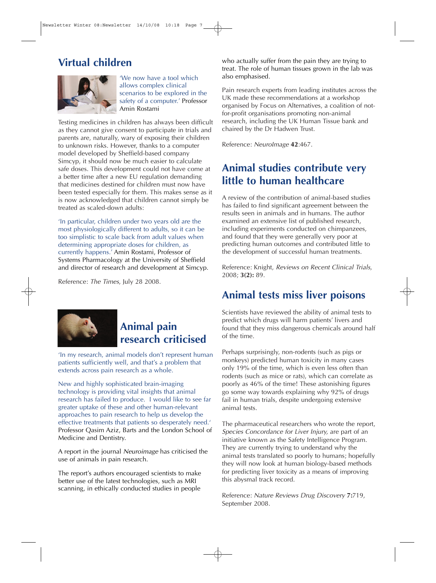### **Virtual children**



'We now have a tool which allows complex clinical scenarios to be explored in the safety of a computer.' Professor Amin Rostami

Testing medicines in children has always been difficult as they cannot give consent to participate in trials and parents are, naturally, wary of exposing their children to unknown risks. However, thanks to a computer model developed by Sheffield-based company Simcyp, it should now be much easier to calculate safe doses. This development could not have come at a better time after a new EU regulation demanding that medicines destined for children must now have been tested especially for them. This makes sense as it is now acknowledged that children cannot simply be treated as scaled-down adults:

'In particular, children under two years old are the most physiologically different to adults, so it can be too simplistic to scale back from adult values when determining appropriate doses for children, as currently happens.' Amin Rostami, Professor of Systems Pharmacology at the University of Sheffield and director of research and development at Simcyp.

Reference: The Times, July 28 2008.



# **Animal pain research criticised**

'In my research, animal models don't represent human patients sufficiently well, and that's a problem that extends across pain research as a whole.

New and highly sophisticated brain-imaging technology is providing vital insights that animal research has failed to produce. I would like to see far greater uptake of these and other human-relevant approaches to pain research to help us develop the effective treatments that patients so desperately need.' Professor Qasim Aziz, Barts and the London School of Medicine and Dentistry.

A report in the journal Neuroimage has criticised the use of animals in pain research.

The report's authors encouraged scientists to make better use of the latest technologies, such as MRI scanning, in ethically conducted studies in people

who actually suffer from the pain they are trying to treat. The role of human tissues grown in the lab was also emphasised.

Pain research experts from leading institutes across the UK made these recommendations at a workshop organised by Focus on Alternatives, a coalition of notfor-profit organisations promoting non-animal research, including the UK Human Tissue bank and chaired by the Dr Hadwen Trust.

Reference: NeuroImage **42**:467.

## **Animal studies contribute very little to human healthcare**

A review of the contribution of animal-based studies has failed to find significant agreement between the results seen in animals and in humans. The author examined an extensive list of published research, including experiments conducted on chimpanzees, and found that they were generally very poor at predicting human outcomes and contributed little to the development of successful human treatments.

Reference: Knight, Reviews on Recent Clinical Trials, 2008; **3(2):** 89.

### **Animal tests miss liver poisons**

Scientists have reviewed the ability of animal tests to predict which drugs will harm patients' livers and found that they miss dangerous chemicals around half of the time.

Perhaps surprisingly, non-rodents (such as pigs or monkeys) predicted human toxicity in many cases only 19% of the time, which is even less often than rodents (such as mice or rats), which can correlate as poorly as 46% of the time! These astonishing figures go some way towards explaining why 92% of drugs fail in human trials, despite undergoing extensive animal tests.

The pharmaceutical researchers who wrote the report, Species Concordance for Liver Injury, are part of an initiative known as the Safety Intelligence Program. They are currently trying to understand why the animal tests translated so poorly to humans; hopefully they will now look at human biology-based methods for predicting liver toxicity as a means of improving this abysmal track record.

Reference: Nature Reviews Drug Discovery **7:**719, September 2008.